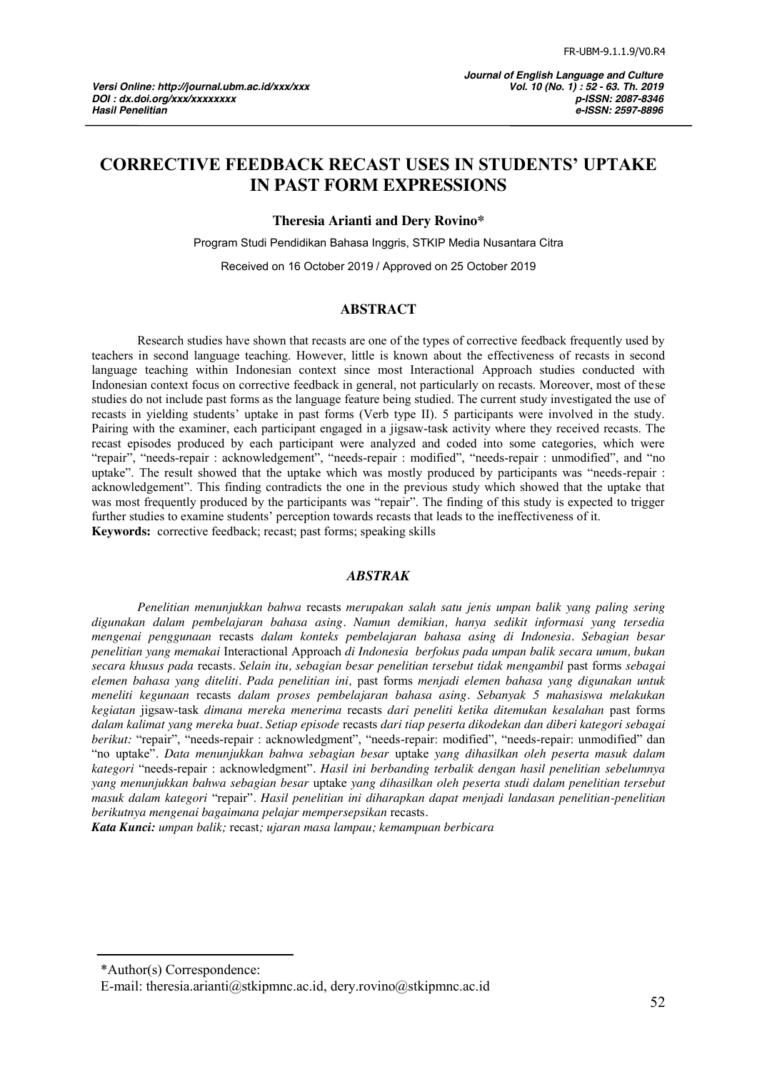# **CORRECTIVE FEEDBACK RECAST USES IN STUDENTS' UPTAKE IN PAST FORM EXPRESSIONS**

**Theresia Arianti and Dery Rovino\***

Program Studi Pendidikan Bahasa Inggris, STKIP Media Nusantara Citra

Received on 16 October 2019 / Approved on 25 October 2019

#### **ABSTRACT**

Research studies have shown that recasts are one of the types of corrective feedback frequently used by teachers in second language teaching. However, little is known about the effectiveness of recasts in second language teaching within Indonesian context since most Interactional Approach studies conducted with Indonesian context focus on corrective feedback in general, not particularly on recasts. Moreover, most of these studies do not include past forms as the language feature being studied. The current study investigated the use of recasts in yielding students' uptake in past forms (Verb type II). 5 participants were involved in the study. Pairing with the examiner, each participant engaged in a jigsaw-task activity where they received recasts. The recast episodes produced by each participant were analyzed and coded into some categories, which were "repair", "needs-repair : acknowledgement", "needs-repair : modified", "needs-repair : unmodified", and "no uptake". The result showed that the uptake which was mostly produced by participants was "needs-repair : acknowledgement". This finding contradicts the one in the previous study which showed that the uptake that was most frequently produced by the participants was "repair". The finding of this study is expected to trigger further studies to examine students' perception towards recasts that leads to the ineffectiveness of it. **Keywords:** corrective feedback; recast; past forms; speaking skills

#### *ABSTRAK*

*Penelitian menunjukkan bahwa* recasts *merupakan salah satu jenis umpan balik yang paling sering digunakan dalam pembelajaran bahasa asing. Namun demikian, hanya sedikit informasi yang tersedia mengenai penggunaan* recasts *dalam konteks pembelajaran bahasa asing di Indonesia. Sebagian besar penelitian yang memakai* Interactional Approach *di Indonesia berfokus pada umpan balik secara umum, bukan secara khusus pada* recasts*. Selain itu, sebagian besar penelitian tersebut tidak mengambil* past forms *sebagai elemen bahasa yang diteliti. Pada penelitian ini,* past forms *menjadi elemen bahasa yang digunakan untuk meneliti kegunaan* recasts *dalam proses pembelajaran bahasa asing. Sebanyak 5 mahasiswa melakukan kegiatan* jigsaw-task *dimana mereka menerima* recasts *dari peneliti ketika ditemukan kesalahan* past forms *dalam kalimat yang mereka buat. Setiap episode* recasts *dari tiap peserta dikodekan dan diberi kategori sebagai berikut:* "repair", "needs-repair : acknowledgment", "needs-repair: modified", "needs-repair: unmodified" dan ―no uptake‖*. Data menunjukkan bahwa sebagian besar* uptake *yang dihasilkan oleh peserta masuk dalam kategori* ―needs-repair : acknowledgment‖*. Hasil ini berbanding terbalik dengan hasil penelitian sebelumnya yang menunjukkan bahwa sebagian besar* uptake *yang dihasilkan oleh peserta studi dalam penelitian tersebut masuk dalam kategori* ―repair‖*. Hasil penelitian ini diharapkan dapat menjadi landasan penelitian-penelitian berikutnya mengenai bagaimana pelajar mempersepsikan* recasts*.*

*Kata Kunci: umpan balik;* recast*; ujaran masa lampau; kemampuan berbicara*

<sup>\*</sup>Author(s) Correspondence:

E-mail: theresia.arianti@stkipmnc.ac.id, dery.rovino@stkipmnc.ac.id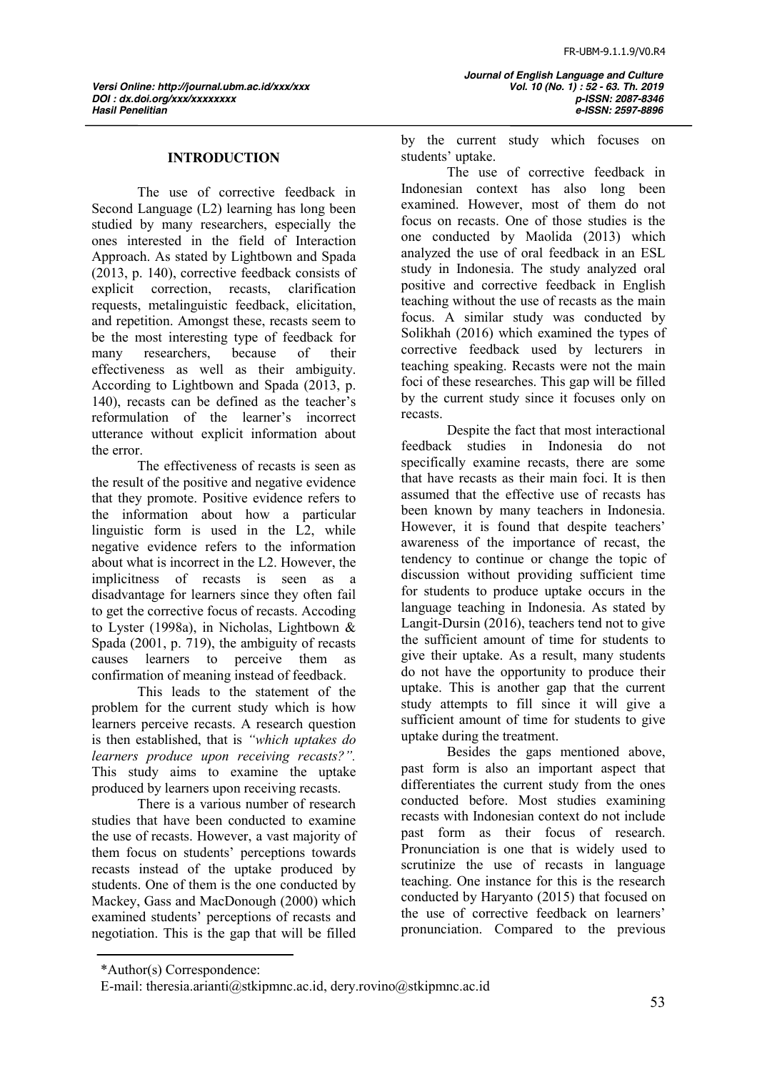### **INTRODUCTION**

The use of corrective feedback in Second Language (L2) learning has long been studied by many researchers, especially the ones interested in the field of Interaction Approach. As stated by Lightbown and Spada (2013, p. 140), corrective feedback consists of explicit correction, recasts, clarification requests, metalinguistic feedback, elicitation, and repetition. Amongst these, recasts seem to be the most interesting type of feedback for many researchers, because of their effectiveness as well as their ambiguity. According to Lightbown and Spada (2013, p. 140), recasts can be defined as the teacher's reformulation of the learner's incorrect utterance without explicit information about the error.

The effectiveness of recasts is seen as the result of the positive and negative evidence that they promote. Positive evidence refers to the information about how a particular linguistic form is used in the L2, while negative evidence refers to the information about what is incorrect in the L2. However, the implicitness of recasts is seen as a disadvantage for learners since they often fail to get the corrective focus of recasts. Accoding to Lyster (1998a), in Nicholas, Lightbown & Spada (2001, p. 719), the ambiguity of recasts causes learners to perceive them as confirmation of meaning instead of feedback.

This leads to the statement of the problem for the current study which is how learners perceive recasts. A research question is then established, that is *"which uptakes do learners produce upon receiving recasts?".*  This study aims to examine the uptake produced by learners upon receiving recasts.

There is a various number of research studies that have been conducted to examine the use of recasts. However, a vast majority of them focus on students' perceptions towards recasts instead of the uptake produced by students. One of them is the one conducted by Mackey, Gass and MacDonough (2000) which examined students' perceptions of recasts and negotiation. This is the gap that will be filled

 *Journal of English Language and Culture Hasil Penelitian e-ISSN: 2597-8896*

by the current study which focuses on students' uptake.

The use of corrective feedback in Indonesian context has also long been examined. However, most of them do not focus on recasts. One of those studies is the one conducted by Maolida (2013) which analyzed the use of oral feedback in an ESL study in Indonesia. The study analyzed oral positive and corrective feedback in English teaching without the use of recasts as the main focus. A similar study was conducted by Solikhah (2016) which examined the types of corrective feedback used by lecturers in teaching speaking. Recasts were not the main foci of these researches. This gap will be filled by the current study since it focuses only on recasts.

Despite the fact that most interactional feedback studies in Indonesia do not specifically examine recasts, there are some that have recasts as their main foci. It is then assumed that the effective use of recasts has been known by many teachers in Indonesia. However, it is found that despite teachers' awareness of the importance of recast, the tendency to continue or change the topic of discussion without providing sufficient time for students to produce uptake occurs in the language teaching in Indonesia. As stated by Langit-Dursin (2016), teachers tend not to give the sufficient amount of time for students to give their uptake. As a result, many students do not have the opportunity to produce their uptake. This is another gap that the current study attempts to fill since it will give a sufficient amount of time for students to give uptake during the treatment.

Besides the gaps mentioned above, past form is also an important aspect that differentiates the current study from the ones conducted before. Most studies examining recasts with Indonesian context do not include past form as their focus of research. Pronunciation is one that is widely used to scrutinize the use of recasts in language teaching. One instance for this is the research conducted by Haryanto (2015) that focused on the use of corrective feedback on learners' pronunciation. Compared to the previous

<sup>\*</sup>Author(s) Correspondence:

E-mail: theresia.arianti@stkipmnc.ac.id, dery.rovino@stkipmnc.ac.id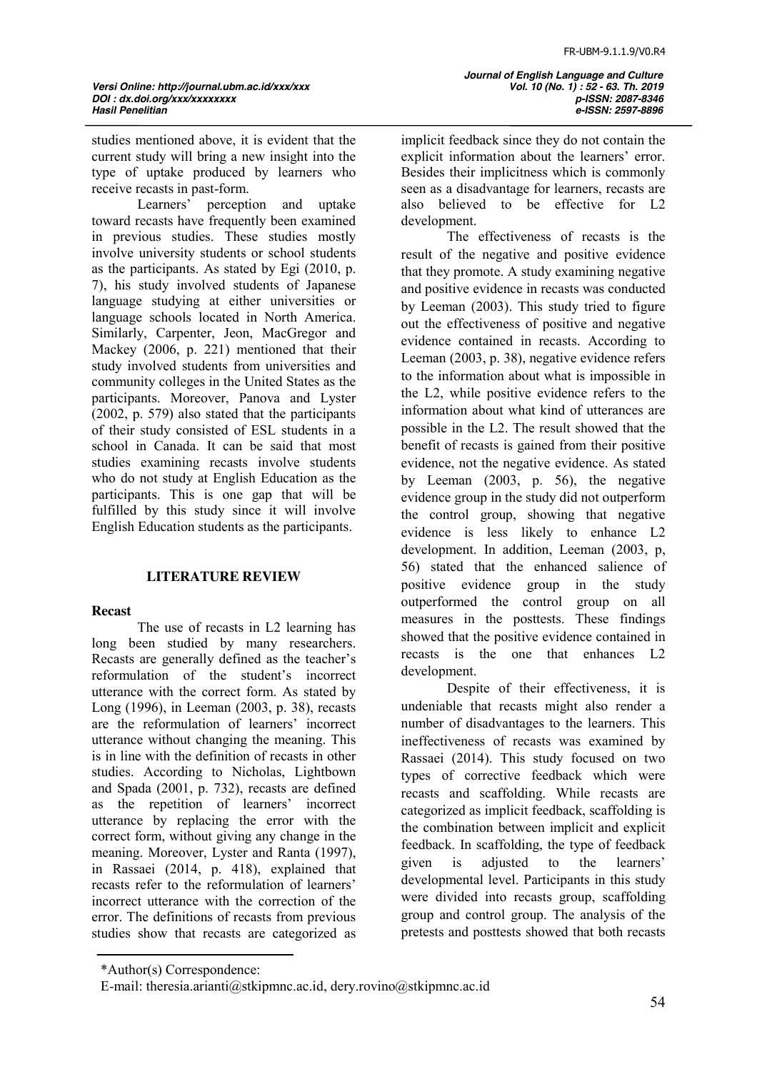studies mentioned above, it is evident that the current study will bring a new insight into the type of uptake produced by learners who receive recasts in past-form.<br>Learners' percenti

perception and uptake toward recasts have frequently been examined in previous studies. These studies mostly involve university students or school students as the participants. As stated by Egi (2010, p. 7), his study involved students of Japanese language studying at either universities or language schools located in North America. Similarly, Carpenter, Jeon, MacGregor and Mackey (2006, p. 221) mentioned that their study involved students from universities and community colleges in the United States as the participants. Moreover, Panova and Lyster (2002, p. 579) also stated that the participants of their study consisted of ESL students in a school in Canada. It can be said that most studies examining recasts involve students who do not study at English Education as the participants. This is one gap that will be fulfilled by this study since it will involve English Education students as the participants.

#### **LITERATURE REVIEW**

#### **Recast**

The use of recasts in L2 learning has long been studied by many researchers. Recasts are generally defined as the teacher's reformulation of the student's incorrect utterance with the correct form. As stated by Long (1996), in Leeman (2003, p. 38), recasts are the reformulation of learners' incorrect utterance without changing the meaning. This is in line with the definition of recasts in other studies. According to Nicholas, Lightbown and Spada (2001, p. 732), recasts are defined as the repetition of learners' incorrect utterance by replacing the error with the correct form, without giving any change in the meaning. Moreover, Lyster and Ranta (1997), in Rassaei (2014, p. 418), explained that recasts refer to the reformulation of learners' incorrect utterance with the correction of the error. The definitions of recasts from previous studies show that recasts are categorized as

 *Journal of English Language and Culture Hasil Penelitian e-ISSN: 2597-8896*

implicit feedback since they do not contain the explicit information about the learners' error. Besides their implicitness which is commonly seen as a disadvantage for learners, recasts are also believed to be effective for L2 development.

The effectiveness of recasts is the result of the negative and positive evidence that they promote. A study examining negative and positive evidence in recasts was conducted by Leeman (2003). This study tried to figure out the effectiveness of positive and negative evidence contained in recasts. According to Leeman (2003, p. 38), negative evidence refers to the information about what is impossible in the L2, while positive evidence refers to the information about what kind of utterances are possible in the L2. The result showed that the benefit of recasts is gained from their positive evidence, not the negative evidence. As stated by Leeman (2003, p. 56), the negative evidence group in the study did not outperform the control group, showing that negative evidence is less likely to enhance L2 development. In addition, Leeman (2003, p, 56) stated that the enhanced salience of positive evidence group in the study outperformed the control group on all measures in the posttests. These findings showed that the positive evidence contained in recasts is the one that enhances L2 development.

Despite of their effectiveness, it is undeniable that recasts might also render a number of disadvantages to the learners. This ineffectiveness of recasts was examined by Rassaei (2014). This study focused on two types of corrective feedback which were recasts and scaffolding. While recasts are categorized as implicit feedback, scaffolding is the combination between implicit and explicit feedback. In scaffolding, the type of feedback given is adjusted to the learners' developmental level. Participants in this study were divided into recasts group, scaffolding group and control group. The analysis of the pretests and posttests showed that both recasts

<sup>\*</sup>Author(s) Correspondence:

E-mail: theresia.arianti@stkipmnc.ac.id, dery.rovino@stkipmnc.ac.id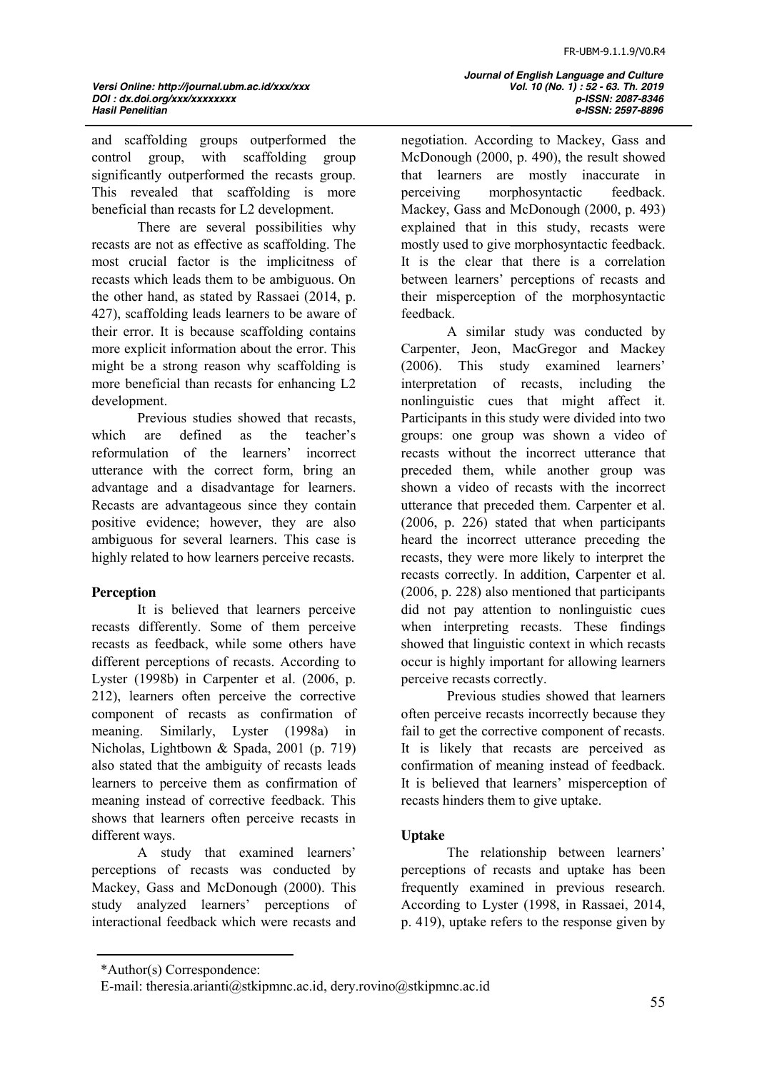and scaffolding groups outperformed the control group, with scaffolding group significantly outperformed the recasts group. This revealed that scaffolding is more beneficial than recasts for L2 development.

There are several possibilities why recasts are not as effective as scaffolding. The most crucial factor is the implicitness of recasts which leads them to be ambiguous. On the other hand, as stated by Rassaei (2014, p. 427), scaffolding leads learners to be aware of their error. It is because scaffolding contains more explicit information about the error. This might be a strong reason why scaffolding is more beneficial than recasts for enhancing L2 development.

Previous studies showed that recasts, which are defined as the teacher's reformulation of the learners' incorrect utterance with the correct form, bring an advantage and a disadvantage for learners. Recasts are advantageous since they contain positive evidence; however, they are also ambiguous for several learners. This case is highly related to how learners perceive recasts.

### **Perception**

It is believed that learners perceive recasts differently. Some of them perceive recasts as feedback, while some others have different perceptions of recasts. According to Lyster (1998b) in Carpenter et al. (2006, p. 212), learners often perceive the corrective component of recasts as confirmation of meaning. Similarly, Lyster (1998a) in Nicholas, Lightbown & Spada, 2001 (p. 719) also stated that the ambiguity of recasts leads learners to perceive them as confirmation of meaning instead of corrective feedback. This shows that learners often perceive recasts in different ways.

A study that examined learners' perceptions of recasts was conducted by Mackey, Gass and McDonough (2000). This study analyzed learners' perceptions of interactional feedback which were recasts and  *Journal of English Language and Culture Hasil Penelitian e-ISSN: 2597-8896*

negotiation. According to Mackey, Gass and McDonough (2000, p. 490), the result showed that learners are mostly inaccurate in perceiving morphosyntactic feedback. Mackey, Gass and McDonough (2000, p. 493) explained that in this study, recasts were mostly used to give morphosyntactic feedback. It is the clear that there is a correlation between learners' perceptions of recasts and their misperception of the morphosyntactic feedback.

A similar study was conducted by Carpenter, Jeon, MacGregor and Mackey (2006). This study examined learners' interpretation of recasts, including the nonlinguistic cues that might affect it. Participants in this study were divided into two groups: one group was shown a video of recasts without the incorrect utterance that preceded them, while another group was shown a video of recasts with the incorrect utterance that preceded them. Carpenter et al. (2006, p. 226) stated that when participants heard the incorrect utterance preceding the recasts, they were more likely to interpret the recasts correctly. In addition, Carpenter et al. (2006, p. 228) also mentioned that participants did not pay attention to nonlinguistic cues when interpreting recasts. These findings showed that linguistic context in which recasts occur is highly important for allowing learners perceive recasts correctly.

Previous studies showed that learners often perceive recasts incorrectly because they fail to get the corrective component of recasts. It is likely that recasts are perceived as confirmation of meaning instead of feedback. It is believed that learners' misperception of recasts hinders them to give uptake.

### **Uptake**

The relationship between learners' perceptions of recasts and uptake has been frequently examined in previous research. According to Lyster (1998, in Rassaei, 2014, p. 419), uptake refers to the response given by

<sup>\*</sup>Author(s) Correspondence:

E-mail: theresia.arianti@stkipmnc.ac.id, dery.rovino@stkipmnc.ac.id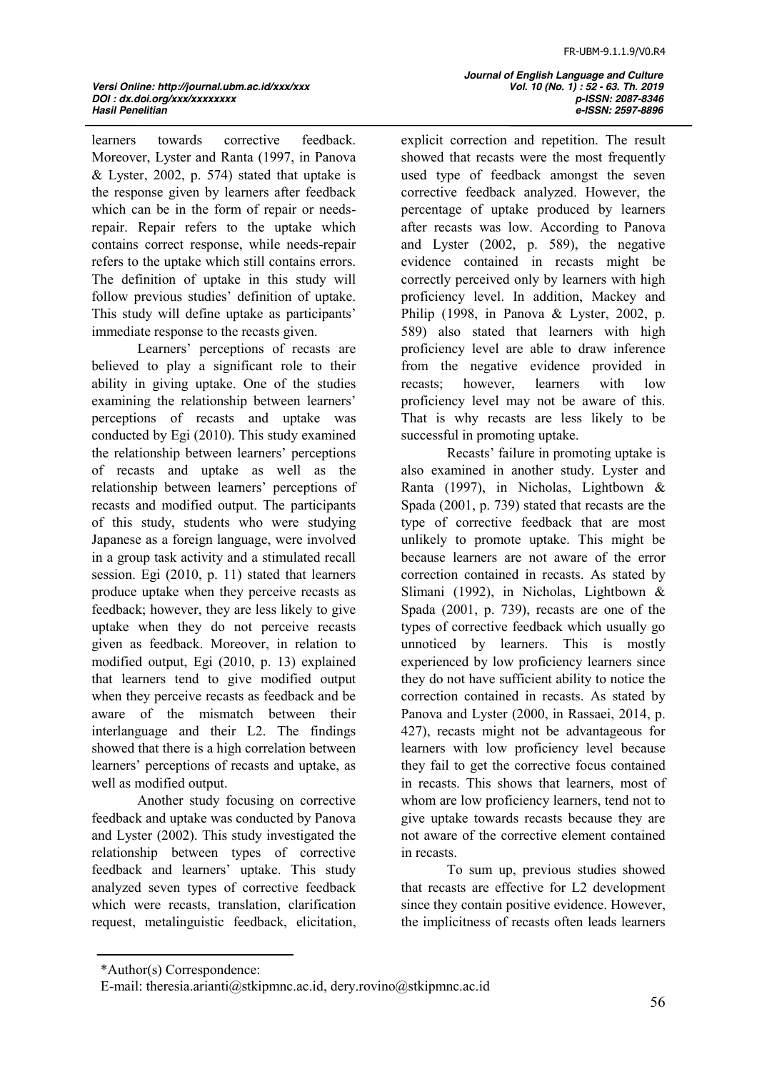learners towards corrective feedback. Moreover, Lyster and Ranta (1997, in Panova  $& Lyster, 2002, p. 574$  stated that uptake is the response given by learners after feedback which can be in the form of repair or needsrepair. Repair refers to the uptake which contains correct response, while needs-repair refers to the uptake which still contains errors. The definition of uptake in this study will follow previous studies' definition of uptake. This study will define uptake as participants' immediate response to the recasts given.

Learners' perceptions of recasts are believed to play a significant role to their ability in giving uptake. One of the studies examining the relationship between learners' perceptions of recasts and uptake was conducted by Egi (2010). This study examined the relationship between learners' perceptions of recasts and uptake as well as the relationship between learners' perceptions of recasts and modified output. The participants of this study, students who were studying Japanese as a foreign language, were involved in a group task activity and a stimulated recall session. Egi (2010, p. 11) stated that learners produce uptake when they perceive recasts as feedback; however, they are less likely to give uptake when they do not perceive recasts given as feedback. Moreover, in relation to modified output, Egi (2010, p. 13) explained that learners tend to give modified output when they perceive recasts as feedback and be aware of the mismatch between their interlanguage and their L2. The findings showed that there is a high correlation between learners' perceptions of recasts and uptake, as well as modified output.

Another study focusing on corrective feedback and uptake was conducted by Panova and Lyster (2002). This study investigated the relationship between types of corrective feedback and learners' uptake. This study analyzed seven types of corrective feedback which were recasts, translation, clarification request, metalinguistic feedback, elicitation,  *Journal of English Language and Culture Hasil Penelitian e-ISSN: 2597-8896*

explicit correction and repetition. The result showed that recasts were the most frequently used type of feedback amongst the seven corrective feedback analyzed. However, the percentage of uptake produced by learners after recasts was low. According to Panova and Lyster (2002, p. 589), the negative evidence contained in recasts might be correctly perceived only by learners with high proficiency level. In addition, Mackey and Philip (1998, in Panova & Lyster, 2002, p. 589) also stated that learners with high proficiency level are able to draw inference from the negative evidence provided in recasts; however, learners with low proficiency level may not be aware of this. That is why recasts are less likely to be successful in promoting uptake.

Recasts' failure in promoting uptake is also examined in another study. Lyster and Ranta (1997), in Nicholas, Lightbown & Spada (2001, p. 739) stated that recasts are the type of corrective feedback that are most unlikely to promote uptake. This might be because learners are not aware of the error correction contained in recasts. As stated by Slimani (1992), in Nicholas, Lightbown & Spada (2001, p. 739), recasts are one of the types of corrective feedback which usually go unnoticed by learners. This is mostly experienced by low proficiency learners since they do not have sufficient ability to notice the correction contained in recasts. As stated by Panova and Lyster (2000, in Rassaei, 2014, p. 427), recasts might not be advantageous for learners with low proficiency level because they fail to get the corrective focus contained in recasts. This shows that learners, most of whom are low proficiency learners, tend not to give uptake towards recasts because they are not aware of the corrective element contained in recasts.

To sum up, previous studies showed that recasts are effective for L2 development since they contain positive evidence. However, the implicitness of recasts often leads learners

<sup>\*</sup>Author(s) Correspondence:

E-mail: theresia.arianti@stkipmnc.ac.id, dery.rovino@stkipmnc.ac.id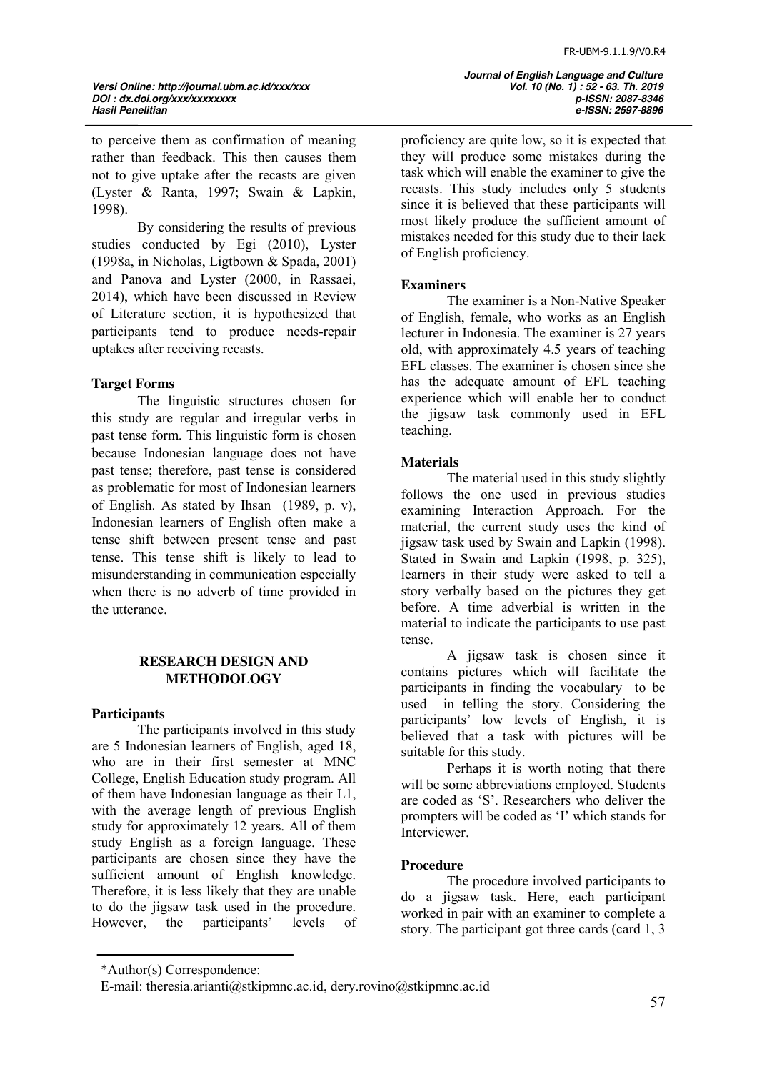to perceive them as confirmation of meaning rather than feedback. This then causes them not to give uptake after the recasts are given (Lyster & Ranta, 1997; Swain & Lapkin, 1998).

By considering the results of previous studies conducted by Egi (2010), Lyster (1998a, in Nicholas, Ligtbown & Spada, 2001) and Panova and Lyster (2000, in Rassaei, 2014), which have been discussed in Review of Literature section, it is hypothesized that participants tend to produce needs-repair uptakes after receiving recasts.

### **Target Forms**

The linguistic structures chosen for this study are regular and irregular verbs in past tense form. This linguistic form is chosen because Indonesian language does not have past tense; therefore, past tense is considered as problematic for most of Indonesian learners of English. As stated by Ihsan (1989, p. v), Indonesian learners of English often make a tense shift between present tense and past tense. This tense shift is likely to lead to misunderstanding in communication especially when there is no adverb of time provided in the utterance.

### **RESEARCH DESIGN AND METHODOLOGY**

#### **Participants**

The participants involved in this study are 5 Indonesian learners of English, aged 18, who are in their first semester at MNC College, English Education study program. All of them have Indonesian language as their L1, with the average length of previous English study for approximately 12 years. All of them study English as a foreign language. These participants are chosen since they have the sufficient amount of English knowledge. Therefore, it is less likely that they are unable to do the jigsaw task used in the procedure. However, the participants' levels of  *Journal of English Language and Culture Hasil Penelitian e-ISSN: 2597-8896*

proficiency are quite low, so it is expected that they will produce some mistakes during the task which will enable the examiner to give the recasts. This study includes only 5 students since it is believed that these participants will most likely produce the sufficient amount of mistakes needed for this study due to their lack of English proficiency.

### **Examiners**

The examiner is a Non-Native Speaker of English, female, who works as an English lecturer in Indonesia. The examiner is 27 years old, with approximately 4.5 years of teaching EFL classes. The examiner is chosen since she has the adequate amount of EFL teaching experience which will enable her to conduct the jigsaw task commonly used in EFL teaching.

### **Materials**

The material used in this study slightly follows the one used in previous studies examining Interaction Approach. For the material, the current study uses the kind of jigsaw task used by Swain and Lapkin (1998). Stated in Swain and Lapkin (1998, p. 325), learners in their study were asked to tell a story verbally based on the pictures they get before. A time adverbial is written in the material to indicate the participants to use past tense.

A jigsaw task is chosen since it contains pictures which will facilitate the participants in finding the vocabulary to be used in telling the story. Considering the participants' low levels of English, it is believed that a task with pictures will be suitable for this study.

Perhaps it is worth noting that there will be some abbreviations employed. Students are coded as 'S'. Researchers who deliver the prompters will be coded as 'I' which stands for Interviewer.

#### **Procedure**

The procedure involved participants to do a jigsaw task. Here, each participant worked in pair with an examiner to complete a story. The participant got three cards (card 1, 3

<sup>\*</sup>Author(s) Correspondence:

E-mail: theresia.arianti@stkipmnc.ac.id, dery.rovino@stkipmnc.ac.id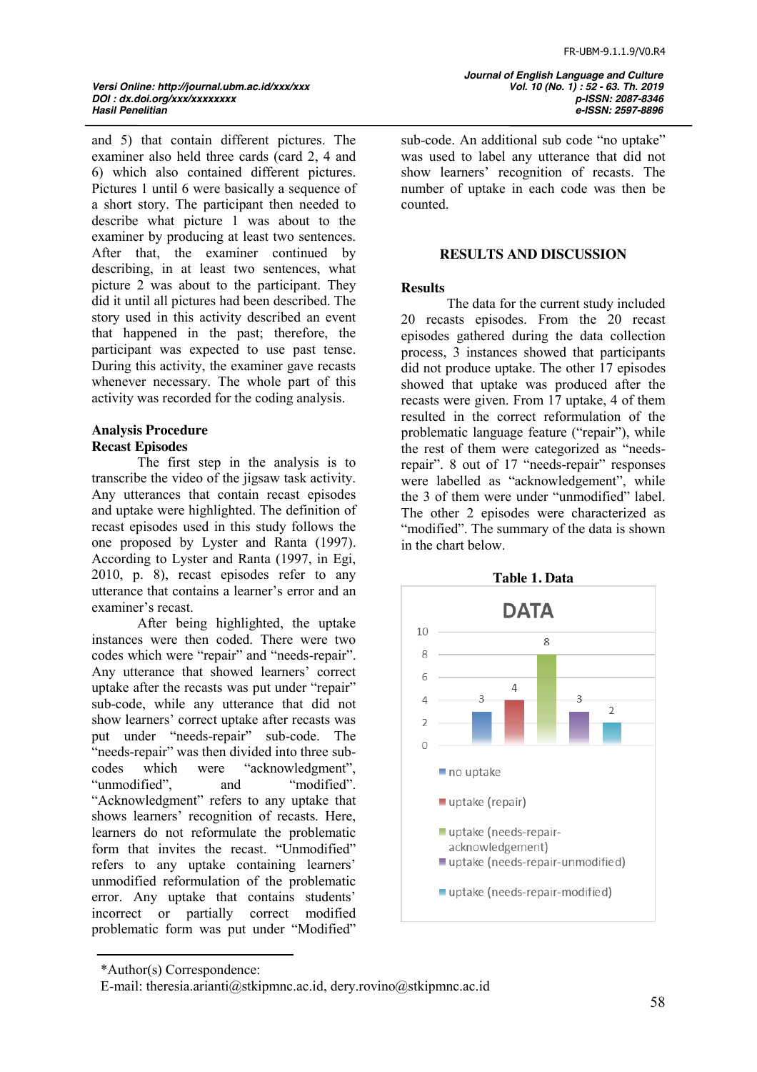*Versi Online: http://journal.ubm.ac.id/xxx/xxx Vol. 10 (No. 1) : 52 - 63. Th. 2019 DOI : dx.doi.org/xxx/xxxxxxxx p-ISSN: 2087-8346*

and 5) that contain different pictures. The examiner also held three cards (card 2, 4 and 6) which also contained different pictures. Pictures 1 until 6 were basically a sequence of a short story. The participant then needed to describe what picture 1 was about to the examiner by producing at least two sentences. After that, the examiner continued by describing, in at least two sentences, what picture 2 was about to the participant. They did it until all pictures had been described. The story used in this activity described an event that happened in the past; therefore, the participant was expected to use past tense. During this activity, the examiner gave recasts whenever necessary. The whole part of this activity was recorded for the coding analysis.

# **Analysis Procedure**

### **Recast Episodes**

The first step in the analysis is to transcribe the video of the jigsaw task activity. Any utterances that contain recast episodes and uptake were highlighted. The definition of recast episodes used in this study follows the one proposed by Lyster and Ranta (1997). According to Lyster and Ranta (1997, in Egi, 2010, p. 8), recast episodes refer to any utterance that contains a learner's error and an examiner's recast.

After being highlighted, the uptake instances were then coded. There were two codes which were "repair" and "needs-repair". Any utterance that showed learners' correct uptake after the recasts was put under "repair" sub-code, while any utterance that did not show learners' correct uptake after recasts was put under "needs-repair" sub-code. The "needs-repair" was then divided into three subcodes which were "acknowledgment", "unmodified", and "modified". "Acknowledgment" refers to any uptake that shows learners' recognition of recasts. Here, learners do not reformulate the problematic form that invites the recast. "Unmodified" refers to any uptake containing learners' unmodified reformulation of the problematic error. Any uptake that contains students' incorrect or partially correct modified problematic form was put under "Modified"

 *Journal of English Language and Culture Hasil Penelitian e-ISSN: 2597-8896*

sub-code. An additional sub code "no uptake" was used to label any utterance that did not show learners' recognition of recasts. The number of uptake in each code was then be counted.

#### **RESULTS AND DISCUSSION**

#### **Results**

The data for the current study included 20 recasts episodes. From the 20 recast episodes gathered during the data collection process, 3 instances showed that participants did not produce uptake. The other 17 episodes showed that uptake was produced after the recasts were given. From 17 uptake, 4 of them resulted in the correct reformulation of the problematic language feature ("repair"), while the rest of them were categorized as "needsrepair". 8 out of 17 "needs-repair" responses were labelled as "acknowledgement", while the 3 of them were under "unmodified" label. The other 2 episodes were characterized as "modified". The summary of the data is shown in the chart below.



<sup>\*</sup>Author(s) Correspondence:

E-mail: theresia.arianti@stkipmnc.ac.id, dery.rovino@stkipmnc.ac.id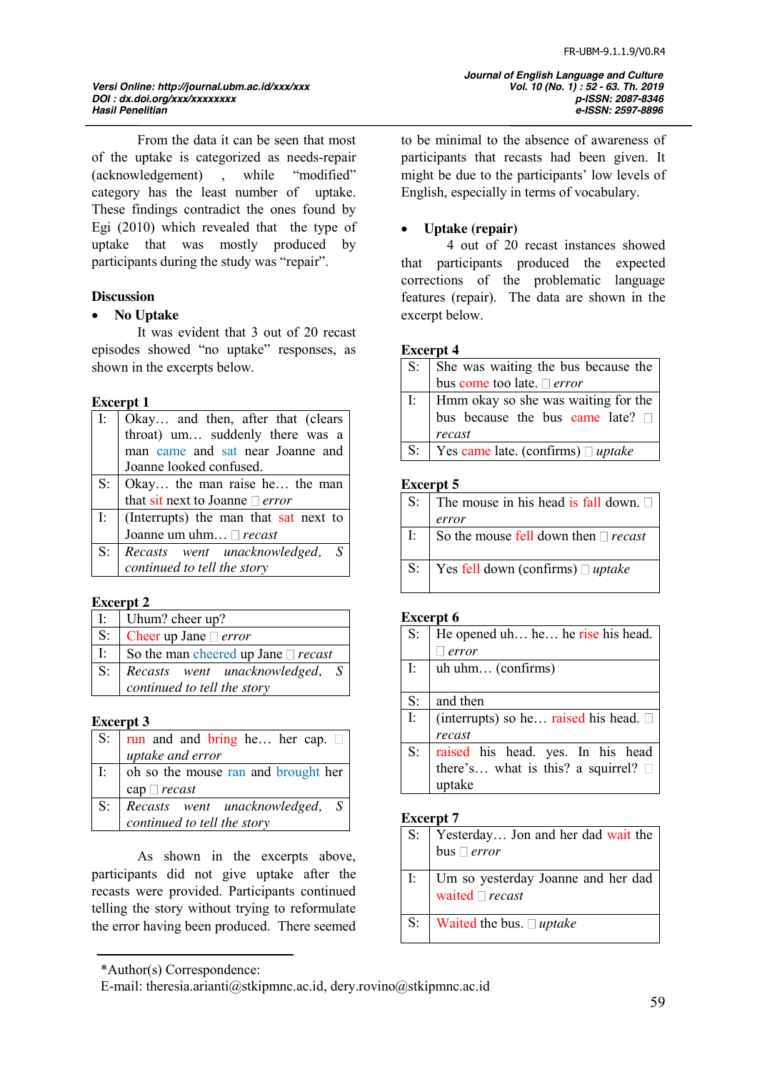## *Versi Online: http://journal.ubm.ac.id/xxx/xxx Vol. 10 (No. 1) : 52 - 63. Th. 2019 DOI : dx.doi.org/xxx/xxxxxxxx p-ISSN: 2087-8346*

From the data it can be seen that most of the uptake is categorized as needs-repair (acknowledgement), while "modified" category has the least number of uptake. These findings contradict the ones found by Egi (2010) which revealed that the type of uptake that was mostly produced by participants during the study was "repair".

### **Discussion**

### • **No Uptake**

It was evident that 3 out of 20 recast episodes showed "no uptake" responses, as shown in the excerpts below.

### **Excerpt 1**

| $\mathbf{I}$ : | Okay and then, after that (clears        |
|----------------|------------------------------------------|
|                | throat) um suddenly there was a          |
|                | man came and sat near Joanne and         |
|                | Joanne looked confused.                  |
|                | $S:$   Okay the man raise he the man     |
|                | that sit next to Joanne $\Box$ error     |
|                | I: (Interrupts) the man that sat next to |
|                | Joanne um uhm <sup>recast</sup>          |
| $S^{\ldots}$   | Recasts went unacknowledged, S           |
|                | continued to tell the story              |
|                |                                          |

### **Excerpt 2**

|             | $I:$ Uhum? cheer up?                     |
|-------------|------------------------------------------|
| $S$ :       | Cheer up Jane $\Box$ <i>error</i>        |
| $\Gamma$ .  | So the man cheered up Jane $\Box$ recast |
| $S^{\cdot}$ | Recasts went unacknowledged, S           |
|             | continued to tell the story              |

### **Excerpt 3**

|             | S: $\vert$ run and and bring he her cap. $\Box$ |
|-------------|-------------------------------------------------|
|             | uptake and error                                |
|             | I: $\vert$ oh so the mouse ran and brought her  |
|             | cap $\Box$ recast                               |
| $S_{\cdot}$ | Recasts went unacknowledged, S                  |
|             | continued to tell the story                     |

As shown in the excerpts above, participants did not give uptake after the recasts were provided. Participants continued telling the story without trying to reformulate the error having been produced. There seemed

\*Author(s) Correspondence:

to be minimal to the absence of awareness of participants that recasts had been given. It might be due to the participants' low levels of English, especially in terms of vocabulary.

### x **Uptake (repair)**

4 out of 20 recast instances showed that participants produced the expected corrections of the problematic language features (repair). The data are shown in the excerpt below.

### **Excerpt 4**

|             | S: She was waiting the bus because the                                               |
|-------------|--------------------------------------------------------------------------------------|
|             | bus come too late. I error                                                           |
|             | I:   Hmm okay so she was waiting for the<br>bus because the bus came late?<br>recast |
| $S_{\cdot}$ | Yes came late. (confirms) $\Box$ uptake                                              |

### **Excerpt 5**

|          | S: The mouse in his head is fall down. $\square$ |
|----------|--------------------------------------------------|
|          | error                                            |
| $\Gamma$ | So the mouse fell down then $\Box$ recast        |
|          | S:   Yes fell down (confirms) $\Box$ uptake      |

### **Excerpt 6**

| $S$ :    | He opened uh he he rise his head.             |
|----------|-----------------------------------------------|
|          | error                                         |
| $\Gamma$ | uh uhm (confirms)                             |
|          |                                               |
| S:       | and then                                      |
| $\Gamma$ | (interrupts) so he raised his head. $\square$ |
|          | recast                                        |
| $S$ :    | raised his head. yes. In his head             |
|          | there's what is this? a squirrel? $\square$   |
|          | uptake                                        |
|          |                                               |

### **Excerpt 7**

| S: Yesterday Jon and her dad wait the |
|---------------------------------------|
| $\vert$ bus $\Box$ error              |
|                                       |

- I: Um so yesterday Joanne and her dad waited  $\Box$  *recast*
- S: Waited the bus. *uptake*

E-mail: theresia.arianti@stkipmnc.ac.id, dery.rovino@stkipmnc.ac.id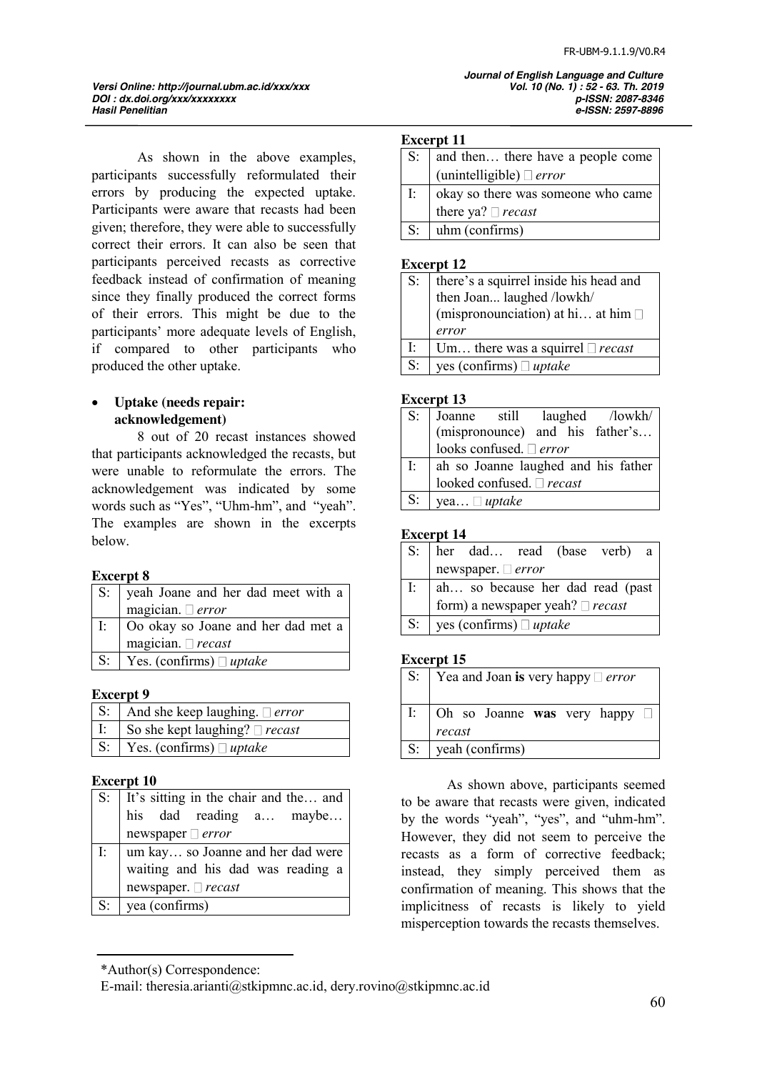*Hasil Penelitian e-ISSN: 2597-8896*

*Versi Online: http://journal.ubm.ac.id/xxx/xxx Vol. 10 (No. 1) : 52 - 63. Th. 2019 DOI : dx.doi.org/xxx/xxxxxxxx p-ISSN: 2087-8346*

As shown in the above examples, participants successfully reformulated their errors by producing the expected uptake. Participants were aware that recasts had been given; therefore, they were able to successfully correct their errors. It can also be seen that participants perceived recasts as corrective feedback instead of confirmation of meaning since they finally produced the correct forms of their errors. This might be due to the participants' more adequate levels of English, if compared to other participants who produced the other uptake.

### x **Uptake (needs repair: acknowledgement)**

8 out of 20 recast instances showed that participants acknowledged the recasts, but were unable to reformulate the errors. The acknowledgement was indicated by some words such as "Yes", "Uhm-hm", and "yeah". The examples are shown in the excerpts below.

### **Excerpt 8**

|       | S: yeah Joane and her dad meet with a |
|-------|---------------------------------------|
|       | magician. $\Box$ error                |
| I:    | Oo okay so Joane and her dad met a    |
|       | magician. $\square$ recast            |
| $S$ : | Yes. (confirms) $\Box$ uptake         |

### **Excerpt 9**

| $\mid S: \mid$ And she keep laughing. $\sqsupset error$ |
|---------------------------------------------------------|
| I:   So she kept laughing? $\Box$ recast                |
| $\sqrt{S}$ : $\sqrt{Yes. (confirms) \Box uptake}$       |

### **Excerpt 10**

| S: It's sitting in the chair and the and<br>his dad reading $a$ maybe |
|-----------------------------------------------------------------------|
| newspaper $\Box$ error                                                |
| I:   um kay so Joanne and her dad were                                |
| waiting and his dad was reading a                                     |
| newspaper. $\Box$ recast                                              |
| $S:$ yea (confirms)                                                   |

#### **Excerpt 11**

| $S$ :       | and then there have a people come  |
|-------------|------------------------------------|
|             | (unintelligible) $\Box$ error      |
| I:          | okay so there was someone who came |
|             | there ya? $\Box$ recast            |
| $S^{\cdot}$ | uhm (confirms)                     |
|             |                                    |

 *Journal of English Language and Culture*

#### **Excerpt 12**

| $S$ :          | there's a squirrel inside his head and<br>then Joan laughed /lowkh/<br>(mispronounciation) at hi at him $\square$ |
|----------------|-------------------------------------------------------------------------------------------------------------------|
|                | error                                                                                                             |
| $\mathbf{I}$ : | Um there was a squirrel $\Box$ recast                                                                             |
| $S$ :          | yes (confirms) $\Box$ uptake                                                                                      |

### **Excerpt 13**

| $S$ : | Joanne still laughed /lowkh/        |
|-------|-------------------------------------|
|       | (mispronounce) and his father's     |
|       | looks confused. $\Box$ error        |
| I:    | ah so Joanne laughed and his father |
|       | looked confused. □ recast           |
| $S$ : | yea $\Box$ uptake                   |

### **Excerpt 14**

|                | S: her dad read (base verb) a         |                                       |  |  |
|----------------|---------------------------------------|---------------------------------------|--|--|
|                |                                       | newspaper. $\Box$ error               |  |  |
|                | I:   ah so because her dad read (past |                                       |  |  |
|                |                                       | form) a newspaper yeah? $\Box$ recast |  |  |
| S <sub>i</sub> | yes (confirms) $\Box$ uptake          |                                       |  |  |

#### **Excerpt 15**

| $S$ : | $\vert$ Yea and Joan is very happy $\vert$ error     |
|-------|------------------------------------------------------|
| I:    | $\vert$ Oh so Joanne was very happy $\Box$<br>recast |
| $S$ : | yeah (confirms)                                      |

As shown above, participants seemed to be aware that recasts were given, indicated by the words "yeah", "yes", and "uhm-hm". However, they did not seem to perceive the recasts as a form of corrective feedback; instead, they simply perceived them as confirmation of meaning. This shows that the implicitness of recasts is likely to yield misperception towards the recasts themselves.

<sup>\*</sup>Author(s) Correspondence:

E-mail: theresia.arianti@stkipmnc.ac.id, dery.rovino@stkipmnc.ac.id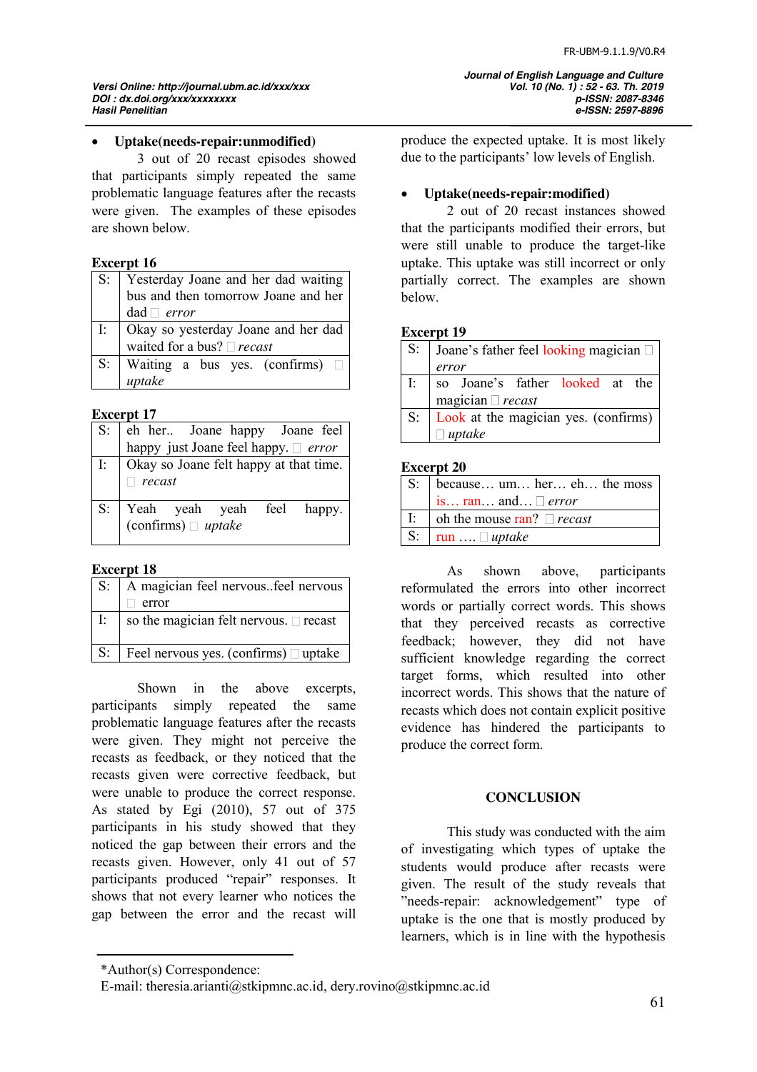*Hasil Penelitian e-ISSN: 2597-8896*

### x **Uptake(needs-repair:unmodified)**

3 out of 20 recast episodes showed that participants simply repeated the same problematic language features after the recasts were given. The examples of these episodes are shown below.

### **Excerpt 16**

| $S_{\cdot}$  |                                                                               |  |  |
|--------------|-------------------------------------------------------------------------------|--|--|
|              | Yesterday Joane and her dad waiting<br>bus and then tomorrow Joane and her    |  |  |
|              | $dad \Box error$                                                              |  |  |
| $\mathbf{E}$ |                                                                               |  |  |
|              | Okay so yesterday Joane and her dad<br>waited for a bus? $\Box$ <i>recast</i> |  |  |
| $S$ :        | Waiting a bus yes. (confirms) $\Box$                                          |  |  |
|              | uptake                                                                        |  |  |

### **Excerpt 17**

| $S$ : |                                                                       |
|-------|-----------------------------------------------------------------------|
|       | eh her Joane happy Joane feel<br>happy just Joane feel happy. □ error |
|       | I: $\vert$ Okay so Joane felt happy at that time.                     |
|       | recast                                                                |
|       | S: Yeah yeah yeah feel happy.<br>(confirms) $\Box$ uptake             |
|       |                                                                       |

### **Excerpt 18**

| $S$ :    | A magician feel nervousfeel nervous            |
|----------|------------------------------------------------|
|          | error                                          |
| $\Gamma$ | so the magician felt nervous. $\square$ recast |
| $S$ :    | Feel nervous yes. (confirms) $\Box$ uptake     |

Shown in the above excerpts, participants simply repeated the same problematic language features after the recasts were given. They might not perceive the recasts as feedback, or they noticed that the recasts given were corrective feedback, but were unable to produce the correct response. As stated by Egi (2010), 57 out of 375 participants in his study showed that they noticed the gap between their errors and the recasts given. However, only 41 out of 57 participants produced "repair" responses. It shows that not every learner who notices the gap between the error and the recast will

produce the expected uptake. It is most likely due to the participants' low levels of English.

 *Journal of English Language and Culture*

### x **Uptake(needs-repair:modified)**

2 out of 20 recast instances showed that the participants modified their errors, but were still unable to produce the target-like uptake. This uptake was still incorrect or only partially correct. The examples are shown below.

#### **Excerpt 19**

| $S$ : | Joane's father feel looking magician |
|-------|--------------------------------------|
|       | error                                |
| I:    | so Joane's father looked at the      |
|       | magician $\Box$ recast               |
| $S$ : | Look at the magician yes. (confirms) |
|       | $\Box$ uptake                        |
|       |                                      |

#### **Excerpt 20**

| S <sub>i</sub> | because $um$ her $eh$ the moss            |
|----------------|-------------------------------------------|
|                | is $ran$ and $\Box$ error                 |
|                | I: $\Box$ oh the mouse ran? $\Box$ recast |
|                | S: $\vert$ run $\Box$ uptake              |

As shown above, participants reformulated the errors into other incorrect words or partially correct words. This shows that they perceived recasts as corrective feedback; however, they did not have sufficient knowledge regarding the correct target forms, which resulted into other incorrect words. This shows that the nature of recasts which does not contain explicit positive evidence has hindered the participants to produce the correct form.

#### **CONCLUSION**

This study was conducted with the aim of investigating which types of uptake the students would produce after recasts were given. The result of the study reveals that "needs-repair: acknowledgement" type of uptake is the one that is mostly produced by learners, which is in line with the hypothesis

<sup>\*</sup>Author(s) Correspondence:

E-mail: theresia.arianti@stkipmnc.ac.id, dery.rovino@stkipmnc.ac.id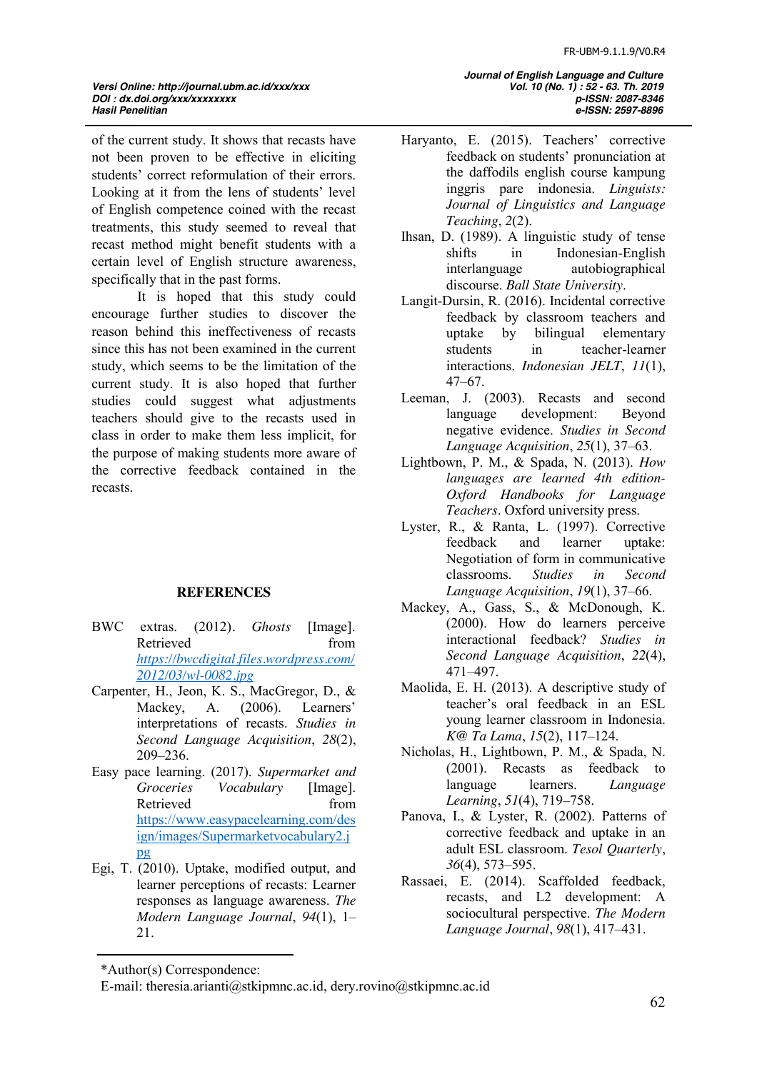*Versi Online: http://journal.ubm.ac.id/xxx/xxx Vol. 10 (No. 1) : 52 - 63. Th. 2019 DOI : dx.doi.org/xxx/xxxxxxxx p-ISSN: 2087-8346*

of the current study. It shows that recasts have not been proven to be effective in eliciting students' correct reformulation of their errors. Looking at it from the lens of students' level of English competence coined with the recast treatments, this study seemed to reveal that recast method might benefit students with a certain level of English structure awareness, specifically that in the past forms.

It is hoped that this study could encourage further studies to discover the reason behind this ineffectiveness of recasts since this has not been examined in the current study, which seems to be the limitation of the current study. It is also hoped that further studies could suggest what adjustments teachers should give to the recasts used in class in order to make them less implicit, for the purpose of making students more aware of the corrective feedback contained in the recasts.

### **REFERENCES**

- BWC extras. (2012)*. Ghosts* [Image]. Retrieved from *[https://bwcdigital.files.wordpress.com/](https://bwcdigital.files.wordpress.com/2012/03/wl-0082.jpg) [2012/03/wl-0082.jpg](https://bwcdigital.files.wordpress.com/2012/03/wl-0082.jpg)*
- Carpenter, H., Jeon, K. S., MacGregor, D., & Mackey, A. (2006). Learners' interpretations of recasts. *Studies in Second Language Acquisition*, *28*(2), 209–236.
- Easy pace learning. (2017). *Supermarket and Vocabulary* [Image]. Retrieved from [https://www.easypacelearning.com/des](https://www.easypacelearning.com/design/images/Supermarketvocabulary2.jpg) [ign/images/Supermarketvocabulary2.j](https://www.easypacelearning.com/design/images/Supermarketvocabulary2.jpg) [pg](https://www.easypacelearning.com/design/images/Supermarketvocabulary2.jpg)
- Egi, T. (2010). Uptake, modified output, and learner perceptions of recasts: Learner responses as language awareness. *The Modern Language Journal*, *94*(1), 1– 21.

 *Journal of English Language and Culture Hasil Penelitian e-ISSN: 2597-8896*

- Haryanto, E. (2015). Teachers' corrective feedback on students' pronunciation at the daffodils english course kampung inggris pare indonesia. *Linguists: Journal of Linguistics and Language Teaching*, *2*(2).
- Ihsan, D. (1989). A linguistic study of tense shifts in Indonesian-English interlanguage autobiographical discourse. *Ball State University*.
- Langit-Dursin, R. (2016). Incidental corrective feedback by classroom teachers and uptake by bilingual elementary students in teacher-learner interactions. *Indonesian JELT*, *11*(1), 47–67.
- Leeman, J. (2003). Recasts and second language development: Beyond negative evidence. *Studies in Second Language Acquisition*, *25*(1), 37–63.
- Lightbown, P. M., & Spada, N. (2013). *How languages are learned 4th edition-Oxford Handbooks for Language Teachers*. Oxford university press.
- Lyster, R., & Ranta, L. (1997). Corrective feedback and learner uptake: Negotiation of form in communicative classrooms. *Studies in Second Language Acquisition*, *19*(1), 37–66.
- Mackey, A., Gass, S., & McDonough, K. (2000). How do learners perceive interactional feedback? *Studies in Second Language Acquisition*, *22*(4), 471–497.
- Maolida, E. H. (2013). A descriptive study of teacher's oral feedback in an ESL young learner classroom in Indonesia. *K@ Ta Lama*, *15*(2), 117–124.
- Nicholas, H., Lightbown, P. M., & Spada, N. (2001). Recasts as feedback to language learners. *Language Learning*, *51*(4), 719–758.
- Panova, I., & Lyster, R. (2002). Patterns of corrective feedback and uptake in an adult ESL classroom. *Tesol Quarterly*, *36*(4), 573–595.
- Rassaei, E. (2014). Scaffolded feedback, recasts, and L2 development: A sociocultural perspective. *The Modern Language Journal*, *98*(1), 417–431.

<sup>\*</sup>Author(s) Correspondence:

E-mail: theresia.arianti@stkipmnc.ac.id, dery.rovino@stkipmnc.ac.id